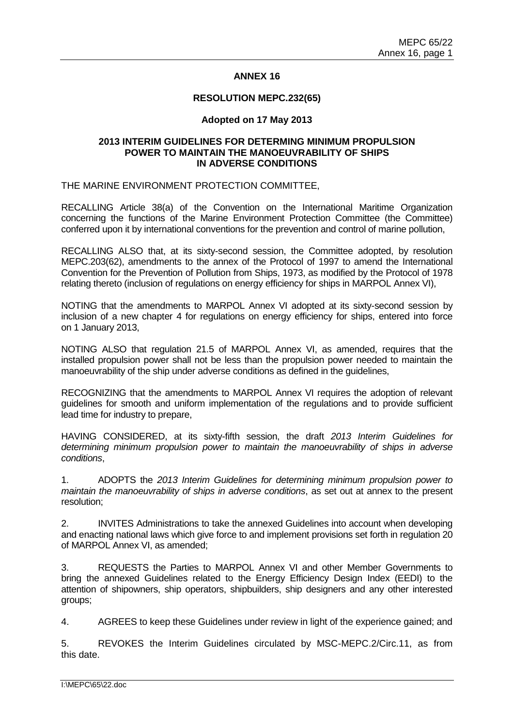## **ANNEX 16**

#### **RESOLUTION MEPC.232(65)**

### **Adopted on 17 May 2013**

### **2013 INTERIM GUIDELINES FOR DETERMING MINIMUM PROPULSION POWER TO MAINTAIN THE MANOEUVRABILITY OF SHIPS IN ADVERSE CONDITIONS**

THE MARINE ENVIRONMENT PROTECTION COMMITTEE,

RECALLING Article 38(a) of the Convention on the International Maritime Organization concerning the functions of the Marine Environment Protection Committee (the Committee) conferred upon it by international conventions for the prevention and control of marine pollution,

RECALLING ALSO that, at its sixty-second session, the Committee adopted, by resolution MEPC.203(62), amendments to the annex of the Protocol of 1997 to amend the International Convention for the Prevention of Pollution from Ships, 1973, as modified by the Protocol of 1978 relating thereto (inclusion of regulations on energy efficiency for ships in MARPOL Annex VI),

NOTING that the amendments to MARPOL Annex VI adopted at its sixty-second session by inclusion of a new chapter 4 for regulations on energy efficiency for ships, entered into force on 1 January 2013,

NOTING ALSO that regulation 21.5 of MARPOL Annex VI, as amended, requires that the installed propulsion power shall not be less than the propulsion power needed to maintain the manoeuvrability of the ship under adverse conditions as defined in the guidelines,

RECOGNIZING that the amendments to MARPOL Annex VI requires the adoption of relevant guidelines for smooth and uniform implementation of the regulations and to provide sufficient lead time for industry to prepare,

HAVING CONSIDERED, at its sixty-fifth session, the draft *2013 Interim Guidelines for determining minimum propulsion power to maintain the manoeuvrability of ships in adverse conditions*,

1. ADOPTS the *2013 Interim Guidelines for determining minimum propulsion power to maintain the manoeuvrability of ships in adverse conditions*, as set out at annex to the present resolution;

2. INVITES Administrations to take the annexed Guidelines into account when developing and enacting national laws which give force to and implement provisions set forth in regulation 20 of MARPOL Annex VI, as amended;

3. REQUESTS the Parties to MARPOL Annex VI and other Member Governments to bring the annexed Guidelines related to the Energy Efficiency Design Index (EEDI) to the attention of shipowners, ship operators, shipbuilders, ship designers and any other interested groups;

4. AGREES to keep these Guidelines under review in light of the experience gained; and

5. REVOKES the Interim Guidelines circulated by MSC-MEPC.2/Circ.11, as from this date.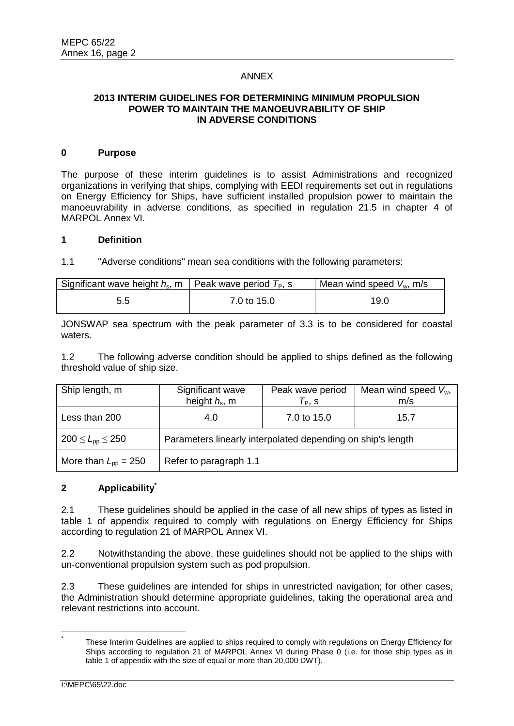### ANNEX

# **2013 INTERIM GUIDELINES FOR DETERMINING MINIMUM PROPULSION POWER TO MAINTAIN THE MANOEUVRABILITY OF SHIP IN ADVERSE CONDITIONS**

### **0 Purpose**

The purpose of these interim guidelines is to assist Administrations and recognized organizations in verifying that ships, complying with EEDI requirements set out in regulations on Energy Efficiency for Ships, have sufficient installed propulsion power to maintain the manoeuvrability in adverse conditions, as specified in regulation 21.5 in chapter 4 of MARPOL Annex VI.

## **1 Definition**

1.1 "Adverse conditions" mean sea conditions with the following parameters:

| Significant wave height $h_s$ , m   Peak wave period $T_P$ , s |             | Mean wind speed $V_w$ , m/s |  |
|----------------------------------------------------------------|-------------|-----------------------------|--|
| 5.5                                                            | 7.0 to 15.0 | 19.C                        |  |

JONSWAP sea spectrum with the peak parameter of 3.3 is to be considered for coastal waters.

1.2 The following adverse condition should be applied to ships defined as the following threshold value of ship size.

| Ship length, m                  | Significant wave<br>height $h_s$ , m                        | Peak wave period<br>$T_P$ , S | Mean wind speed $V_w$ ,<br>m/s |  |
|---------------------------------|-------------------------------------------------------------|-------------------------------|--------------------------------|--|
| Less than 200                   | 4.0                                                         | 7.0 to 15.0                   | 15.7                           |  |
| $200 \le L_{\text{DD}} \le 250$ | Parameters linearly interpolated depending on ship's length |                               |                                |  |
| More than $L_{\rm pp} = 250$    | Refer to paragraph 1.1                                      |                               |                                |  |

# **2 Applicability\***

2.1 These guidelines should be applied in the case of all new ships of types as listed in table 1 of appendix required to comply with regulations on Energy Efficiency for Ships according to regulation 21 of MARPOL Annex VI.

2.2 Notwithstanding the above, these guidelines should not be applied to the ships with un-conventional propulsion system such as pod propulsion.

2.3 These guidelines are intended for ships in unrestricted navigation; for other cases, the Administration should determine appropriate guidelines, taking the operational area and relevant restrictions into account.

 $\overline{a}$ \*

These Interim Guidelines are applied to ships required to comply with regulations on Energy Efficiency for Ships according to regulation 21 of MARPOL Annex VI during Phase 0 (i.e. for those ship types as in table 1 of appendix with the size of equal or more than 20,000 DWT).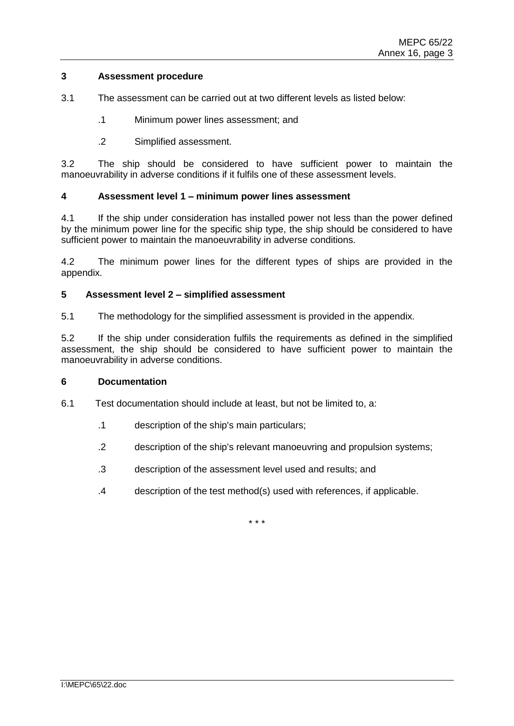## **3 Assessment procedure**

- 3.1 The assessment can be carried out at two different levels as listed below:
	- .1 Minimum power lines assessment; and
	- .2 Simplified assessment.

3.2 The ship should be considered to have sufficient power to maintain the manoeuvrability in adverse conditions if it fulfils one of these assessment levels.

### **4 Assessment level 1 – minimum power lines assessment**

4.1 If the ship under consideration has installed power not less than the power defined by the minimum power line for the specific ship type, the ship should be considered to have sufficient power to maintain the manoeuvrability in adverse conditions.

4.2 The minimum power lines for the different types of ships are provided in the appendix.

## **5 Assessment level 2 – simplified assessment**

5.1 The methodology for the simplified assessment is provided in the appendix.

5.2 If the ship under consideration fulfils the requirements as defined in the simplified assessment, the ship should be considered to have sufficient power to maintain the manoeuvrability in adverse conditions.

### **6 Documentation**

- 6.1 Test documentation should include at least, but not be limited to, a:
	- .1 description of the ship's main particulars;
	- .2 description of the ship's relevant manoeuvring and propulsion systems;
	- .3 description of the assessment level used and results; and
	- .4 description of the test method(s) used with references, if applicable.

\* \* \*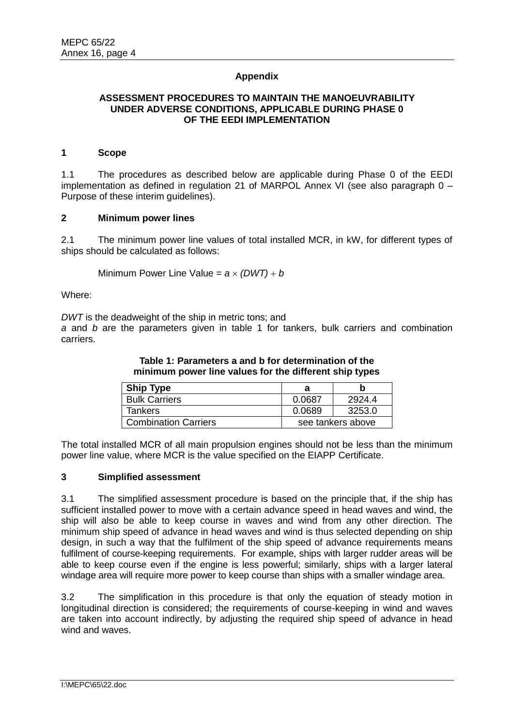## **Appendix**

# **ASSESSMENT PROCEDURES TO MAINTAIN THE MANOEUVRABILITY UNDER ADVERSE CONDITIONS, APPLICABLE DURING PHASE 0 OF THE EEDI IMPLEMENTATION**

#### **1 Scope**

1.1 The procedures as described below are applicable during Phase 0 of the EEDI implementation as defined in regulation 21 of MARPOL Annex VI (see also paragraph 0 – Purpose of these interim guidelines).

### **2 Minimum power lines**

2.1 The minimum power line values of total installed MCR, in kW, for different types of ships should be calculated as follows:

Minimum Power Line Value =  $a \times (DWT) + b$ 

Where:

*DWT* is the deadweight of the ship in metric tons; and

*a* and *b* are the parameters given in table 1 for tankers, bulk carriers and combination carriers.

| <b>Ship Type</b>            |        |                   |
|-----------------------------|--------|-------------------|
| <b>Bulk Carriers</b>        | 0.0687 | 2924.4            |
| Tankers                     | 0.0689 | 3253.0            |
| <b>Combination Carriers</b> |        | see tankers above |

The total installed MCR of all main propulsion engines should not be less than the minimum power line value, where MCR is the value specified on the EIAPP Certificate.

### **3 Simplified assessment**

3.1 The simplified assessment procedure is based on the principle that, if the ship has sufficient installed power to move with a certain advance speed in head waves and wind, the ship will also be able to keep course in waves and wind from any other direction. The minimum ship speed of advance in head waves and wind is thus selected depending on ship design, in such a way that the fulfilment of the ship speed of advance requirements means fulfilment of course-keeping requirements. For example, ships with larger rudder areas will be able to keep course even if the engine is less powerful; similarly, ships with a larger lateral windage area will require more power to keep course than ships with a smaller windage area.

3.2 The simplification in this procedure is that only the equation of steady motion in longitudinal direction is considered; the requirements of course-keeping in wind and waves are taken into account indirectly, by adjusting the required ship speed of advance in head wind and waves.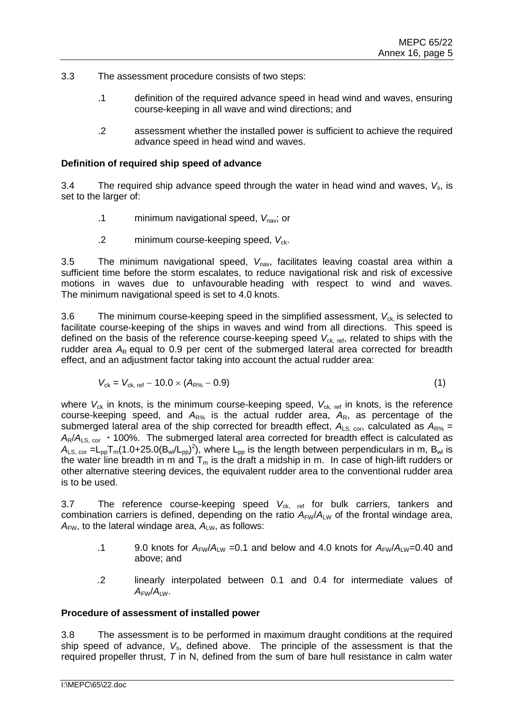- 3.3 The assessment procedure consists of two steps:
	- .1 definition of the required advance speed in head wind and waves, ensuring course-keeping in all wave and wind directions; and
	- .2 assessment whether the installed power is sufficient to achieve the required advance speed in head wind and waves.

## **Definition of required ship speed of advance**

3.4 The required ship advance speed through the water in head wind and waves,  $V_s$ , is set to the larger of:

- .1 minimum navigational speed, V<sub>nav</sub>; or
- .2 minimum course-keeping speed, V<sub>ck</sub>.

3.5 The minimum navigational speed, V<sub>nav</sub>, facilitates leaving coastal area within a sufficient time before the storm escalates, to reduce navigational risk and risk of excessive motions in waves due to unfavourable heading with respect to wind and waves. The minimum navigational speed is set to 4.0 knots.

3.6 The minimum course-keeping speed in the simplified assessment,  $V_{ck}$  is selected to facilitate course-keeping of the ships in waves and wind from all directions. This speed is defined on the basis of the reference course-keeping speed V<sub>ck, ref</sub>, related to ships with the rudder area  $A_R$  equal to 0.9 per cent of the submerged lateral area corrected for breadth effect, and an adjustment factor taking into account the actual rudder area:

$$
V_{ck} = V_{ck, ref} - 10.0 \times (A_{R\%} - 0.9)
$$
 (1)

where  $V_{ck}$  in knots, is the minimum course-keeping speed,  $V_{ck, ref}$  in knots, is the reference course-keeping speed, and  $A_{R\%}$  is the actual rudder area,  $A_{R}$ , as percentage of the submerged lateral area of the ship corrected for breadth effect,  $A_{LS, cor}$ , calculated as  $A_{RS}$  =  $A_R/A_{LS, cor}$  · 100%. The submerged lateral area corrected for breadth effect is calculated as  $A_{LS,cor} = L_{pp} T_m (1.0 + 25.0 (B_w/L_{pp})^2)$ , where  $L_{pp}$  is the length between perpendiculars in m,  $B_{wd}$  is the water line breadth in m and  $T_m$  is the draft a midship in m. In case of high-lift rudders or other alternative steering devices, the equivalent rudder area to the conventional rudder area is to be used.

3.7 The reference course-keeping speed V<sub>ck, ref</sub> for bulk carriers, tankers and combination carriers is defined, depending on the ratio  $A_{FW}/A_{LW}$  of the frontal windage area,  $A_{FW}$ , to the lateral windage area,  $A_{LW}$ , as follows:

- .1 9.0 knots for  $A_{FW}/A_{LW}$  =0.1 and below and 4.0 knots for  $A_{FW}/A_{LW}=0.40$  and above; and
- .2 linearly interpolated between 0.1 and 0.4 for intermediate values of  $A_{FW}/A_{LW}$ .

# **Procedure of assessment of installed power**

3.8 The assessment is to be performed in maximum draught conditions at the required ship speed of advance, *V*s, defined above. The principle of the assessment is that the required propeller thrust, *T* in N, defined from the sum of bare hull resistance in calm water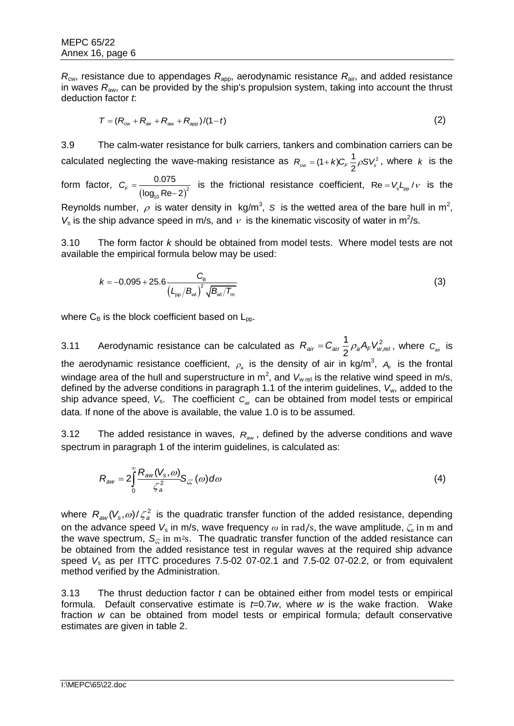$R_{\text{cw}}$ , resistance due to appendages  $R_{\text{apo}}$ , aerodynamic resistance  $R_{\text{air}}$ , and added resistance in waves *R*aw, can be provided by the ship's propulsion system, taking into account the thrust deduction factor *t*:

$$
T = (R_{\rm cw} + R_{\rm air} + R_{\rm aw} + R_{\rm app})/(1-t)
$$
 (2)

3.9 The calm-water resistance for bulk carriers, tankers and combination carriers can be calculated neglecting the wave-making resistance as  $R_{\text{cw}} = (1 + k)C_F \frac{1}{2} \rho S V_s^2$ , where k is the

form factor,  $(\log_{10} \text{Re} - 2)^2$ 10 0.075  $C_F = \frac{0.676}{\log_{10} \text{Re} - 2}$ is the frictional resistance coefficient,  $Re = V_s L_{\rm pp}/v$  is the

Reynolds number,  $\rho$  is water density in kg/m<sup>3</sup>, S is the wetted area of the bare hull in m<sup>2</sup>,  $V_s$  is the ship advance speed in m/s, and  $v$  is the kinematic viscosity of water in m<sup>2</sup>/s.

3.10 The form factor *k* should be obtained from model tests. Where model tests are not available the empirical formula below may be used:

$$
k = -0.095 + 25.6 \frac{C_{\rm B}}{\left(L_{\rm pp}/B_{\rm wd}\right)^2 \sqrt{B_{\rm wd}/T_{\rm m}}}
$$
(3)

where  $C_B$  is the block coefficient based on  $L_{\text{po}}$ .

3.11 Aerodynamic resistance can be calculated as  $R_{air} = C_{air} \frac{1}{2} \rho_a A_F V_{w}^2$  $R_{air} = C_{air} \frac{1}{2} \rho_a A_F V_{w,rel}^2$ , where  $C_{air}$  is the aerodynamic resistance coefficient,  $\rho_{\text{\tiny a}}$  is the density of air in kg/m<sup>3</sup>,  $A_{\!\text{\tiny F}}$  is the frontal windage area of the hull and superstructure in  $m^2$ , and  $V_{w \text{ rel}}$  is the relative wind speed in m/s, defined by the adverse conditions in paragraph 1.1 of the interim guidelines, *V*w, added to the ship advance speed, V<sub>s</sub>. The coefficient  $C_{\text{air}}$  can be obtained from model tests or empirical data. If none of the above is available, the value 1.0 is to be assumed.

3.12 The added resistance in waves, *R*aw , defined by the adverse conditions and wave spectrum in paragraph 1 of the interim guidelines, is calculated as:

$$
R_{aw} = 2 \int_{0}^{\infty} \frac{R_{aw}(V_s, \omega)}{\zeta_a^2} S_{\zeta\zeta}(\omega) d\omega \tag{4}
$$

where  $R_{aw}(V_s, \omega)/\zeta_a^2$  is the quadratic transfer function of the added resistance, depending on the advance speed *V*<sup>s</sup> in m/s, wave frequency *ω* in rad/s, the wave amplitude, *ζ<sup>a</sup>* in m and the wave spectrum,  $S_{\gamma}$  in m<sup>2</sup>s. The quadratic transfer function of the added resistance can be obtained from the added resistance test in regular waves at the required ship advance speed V<sub>s</sub> as per ITTC procedures 7.5-02 07-02.1 and 7.5-02 07-02.2, or from equivalent method verified by the Administration.

3.13 The thrust deduction factor *t* can be obtained either from model tests or empirical formula. Default conservative estimate is *t*=0.7*w*, where *w* is the wake fraction. Wake fraction *w* can be obtained from model tests or empirical formula; default conservative estimates are given in table 2.